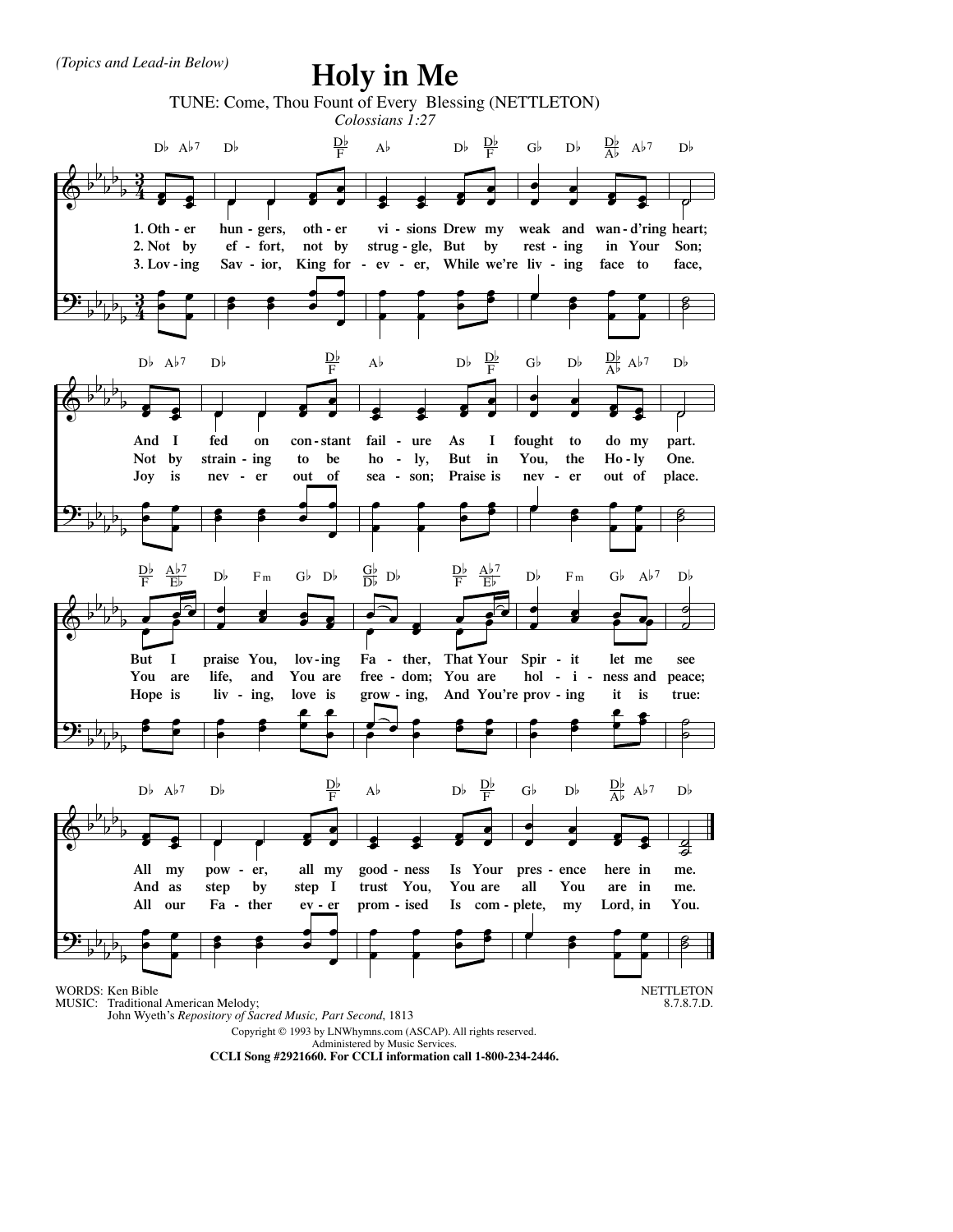## **Holy in Me**



**CCLI Song #2921660. For CCLI information call 1-800-234-2446.**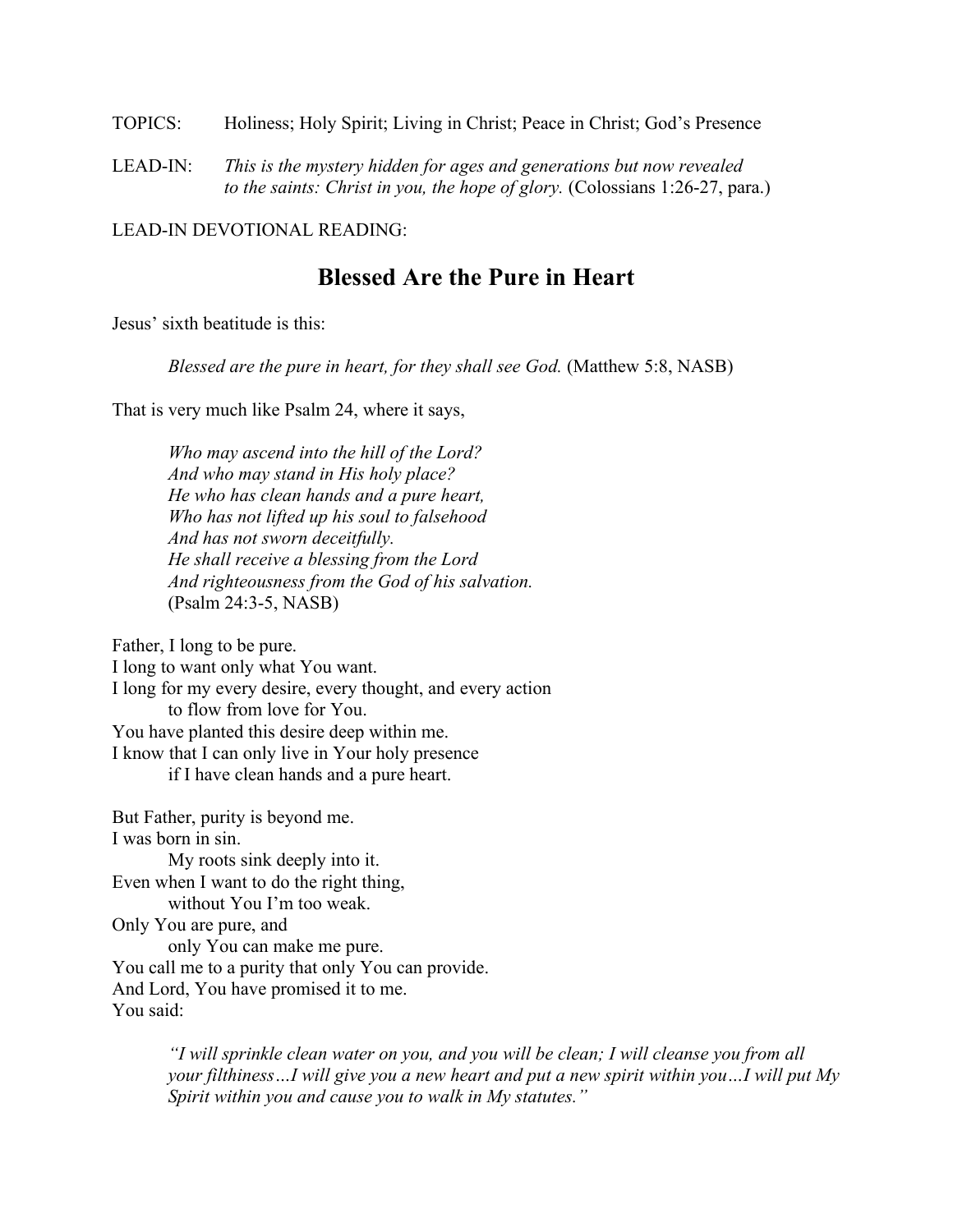TOPICS: Holiness; Holy Spirit; Living in Christ; Peace in Christ; God's Presence

LEAD-IN: *This is the mystery hidden for ages and generations but now revealed to the saints: Christ in you, the hope of glory.* (Colossians 1:26-27, para.)

LEAD-IN DEVOTIONAL READING:

## **Blessed Are the Pure in Heart**

Jesus' sixth beatitude is this:

*Blessed are the pure in heart, for they shall see God.* (Matthew 5:8, NASB)

That is very much like Psalm 24, where it says,

*Who may ascend into the hill of the Lord? And who may stand in His holy place? He who has clean hands and a pure heart, Who has not lifted up his soul to falsehood And has not sworn deceitfully. He shall receive a blessing from the Lord And righteousness from the God of his salvation.* (Psalm 24:3-5, NASB)

Father, I long to be pure.

I long to want only what You want. I long for my every desire, every thought, and every action to flow from love for You. You have planted this desire deep within me. I know that I can only live in Your holy presence if I have clean hands and a pure heart.

But Father, purity is beyond me. I was born in sin. My roots sink deeply into it. Even when I want to do the right thing, without You I'm too weak. Only You are pure, and only You can make me pure. You call me to a purity that only You can provide. And Lord, You have promised it to me. You said:

> *"I will sprinkle clean water on you, and you will be clean; I will cleanse you from all your filthiness…I will give you a new heart and put a new spirit within you…I will put My Spirit within you and cause you to walk in My statutes."*